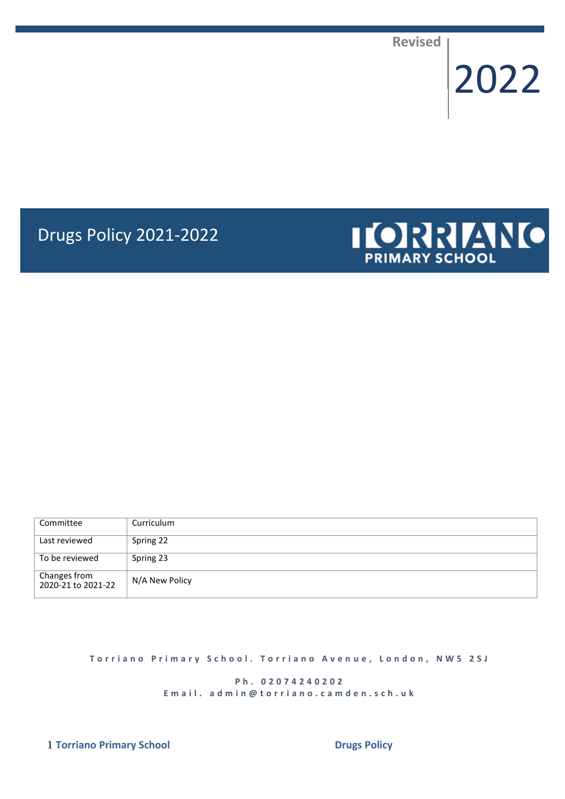**Revised**

# 2022

# Drugs Policy 2021-2022



| Committee                          | Curriculum     |
|------------------------------------|----------------|
| Last reviewed                      | Spring 22      |
| To be reviewed                     | Spring 23      |
| Changes from<br>2020-21 to 2021-22 | N/A New Policy |

**T o r r i a n o P r i m a r y S c h o o l . T o r r i a n o A v e n u e , L o n d o n , N W 5 2 S J**

**P h . 0 2 0 7 4 2 4 0 2 0 2** E m a il. a d m i n @ t o r r i a n o . c a m d e n . s c h . u k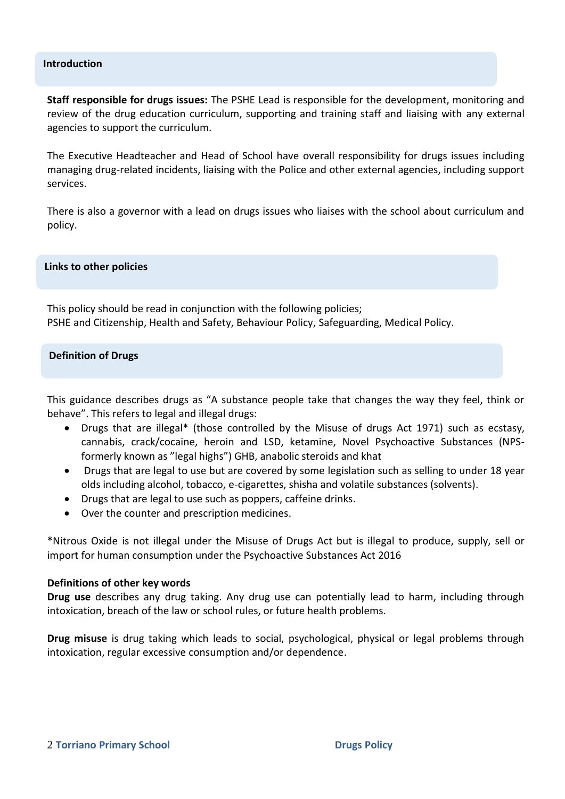#### **Introduction**

**Staff responsible for drugs issues:** The PSHE Lead is responsible for the development, monitoring and review of the drug education curriculum, supporting and training staff and liaising with any external agencies to support the curriculum.

The Executive Headteacher and Head of School have overall responsibility for drugs issues including managing drug-related incidents, liaising with the Police and other external agencies, including support services.

There is also a governor with a lead on drugs issues who liaises with the school about curriculum and policy.

**Links to other policies**

This policy should be read in conjunction with the following policies; PSHE and Citizenship, Health and Safety, Behaviour Policy, Safeguarding, Medical Policy.

#### **Definition of Drugs**

This guidance describes drugs as "A substance people take that changes the way they feel, think or behave". This refers to legal and illegal drugs:

- Drugs that are illegal\* (those controlled by the Misuse of drugs Act 1971) such as ecstasy, cannabis, crack/cocaine, heroin and LSD, ketamine, Novel Psychoactive Substances (NPSformerly known as "legal highs") GHB, anabolic steroids and khat
- Drugs that are legal to use but are covered by some legislation such as selling to under 18 year olds including alcohol, tobacco, e-cigarettes, shisha and volatile substances (solvents).
- Drugs that are legal to use such as poppers, caffeine drinks.
- Over the counter and prescription medicines.

\*Nitrous Oxide is not illegal under the Misuse of Drugs Act but is illegal to produce, supply, sell or import for human consumption under the Psychoactive Substances Act 2016

#### **Definitions of other key words**

**Drug use** describes any drug taking. Any drug use can potentially lead to harm, including through intoxication, breach of the law or school rules, or future health problems.

**Drug misuse** is drug taking which leads to social, psychological, physical or legal problems through intoxication, regular excessive consumption and/or dependence.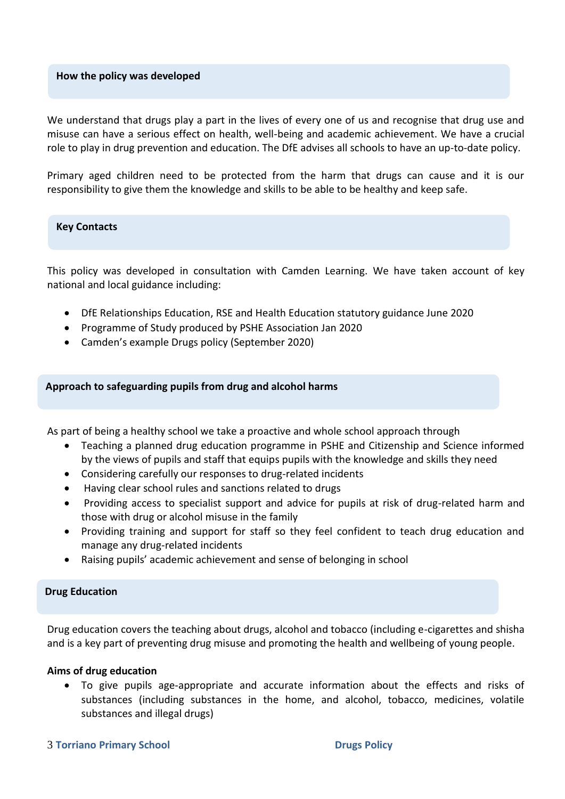#### **How the policy was developed**

We understand that drugs play a part in the lives of every one of us and recognise that drug use and misuse can have a serious effect on health, well-being and academic achievement. We have a crucial role to play in drug prevention and education. The DfE advises all schools to have an up-to-date policy.

Primary aged children need to be protected from the harm that drugs can cause and it is our responsibility to give them the knowledge and skills to be able to be healthy and keep safe.

#### **Key Contacts**

This policy was developed in consultation with Camden Learning. We have taken account of key national and local guidance including:

- DfE Relationships Education, RSE and Health Education statutory guidance June 2020
- Programme of Study produced by PSHE Association Jan 2020
- Camden's example Drugs policy (September 2020)

#### **Approach to safeguarding pupils from drug and alcohol harms**

As part of being a healthy school we take a proactive and whole school approach through

- Teaching a planned drug education programme in PSHE and Citizenship and Science informed by the views of pupils and staff that equips pupils with the knowledge and skills they need
- Considering carefully our responses to drug-related incidents
- Having clear school rules and sanctions related to drugs
- Providing access to specialist support and advice for pupils at risk of drug-related harm and those with drug or alcohol misuse in the family
- Providing training and support for staff so they feel confident to teach drug education and manage any drug-related incidents
- Raising pupils' academic achievement and sense of belonging in school

# **Drug Education**

Drug education covers the teaching about drugs, alcohol and tobacco (including e-cigarettes and shisha and is a key part of preventing drug misuse and promoting the health and wellbeing of young people.

#### **Aims of drug education**

• To give pupils age-appropriate and accurate information about the effects and risks of substances (including substances in the home, and alcohol, tobacco, medicines, volatile substances and illegal drugs)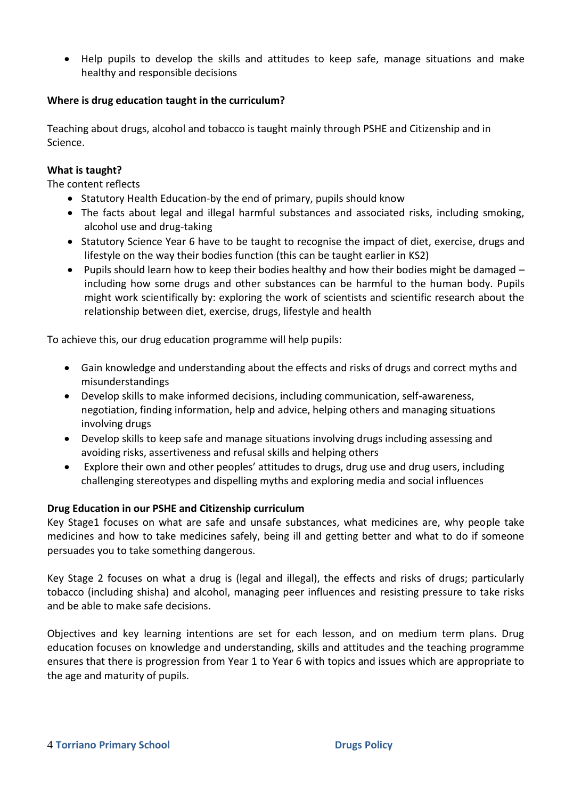• Help pupils to develop the skills and attitudes to keep safe, manage situations and make healthy and responsible decisions

# **Where is drug education taught in the curriculum?**

Teaching about drugs, alcohol and tobacco is taught mainly through PSHE and Citizenship and in Science.

# **What is taught?**

The content reflects

- Statutory Health Education-by the end of primary, pupils should know
- The facts about legal and illegal harmful substances and associated risks, including smoking, alcohol use and drug-taking
- Statutory Science Year 6 have to be taught to recognise the impact of diet, exercise, drugs and lifestyle on the way their bodies function (this can be taught earlier in KS2)
- Pupils should learn how to keep their bodies healthy and how their bodies might be damaged including how some drugs and other substances can be harmful to the human body. Pupils might work scientifically by: exploring the work of scientists and scientific research about the relationship between diet, exercise, drugs, lifestyle and health

To achieve this, our drug education programme will help pupils:

- Gain knowledge and understanding about the effects and risks of drugs and correct myths and misunderstandings
- Develop skills to make informed decisions, including communication, self-awareness, negotiation, finding information, help and advice, helping others and managing situations involving drugs
- Develop skills to keep safe and manage situations involving drugs including assessing and avoiding risks, assertiveness and refusal skills and helping others
- Explore their own and other peoples' attitudes to drugs, drug use and drug users, including challenging stereotypes and dispelling myths and exploring media and social influences

# **Drug Education in our PSHE and Citizenship curriculum**

Key Stage1 focuses on what are safe and unsafe substances, what medicines are, why people take medicines and how to take medicines safely, being ill and getting better and what to do if someone persuades you to take something dangerous.

Key Stage 2 focuses on what a drug is (legal and illegal), the effects and risks of drugs; particularly tobacco (including shisha) and alcohol, managing peer influences and resisting pressure to take risks and be able to make safe decisions.

Objectives and key learning intentions are set for each lesson, and on medium term plans. Drug education focuses on knowledge and understanding, skills and attitudes and the teaching programme ensures that there is progression from Year 1 to Year 6 with topics and issues which are appropriate to the age and maturity of pupils.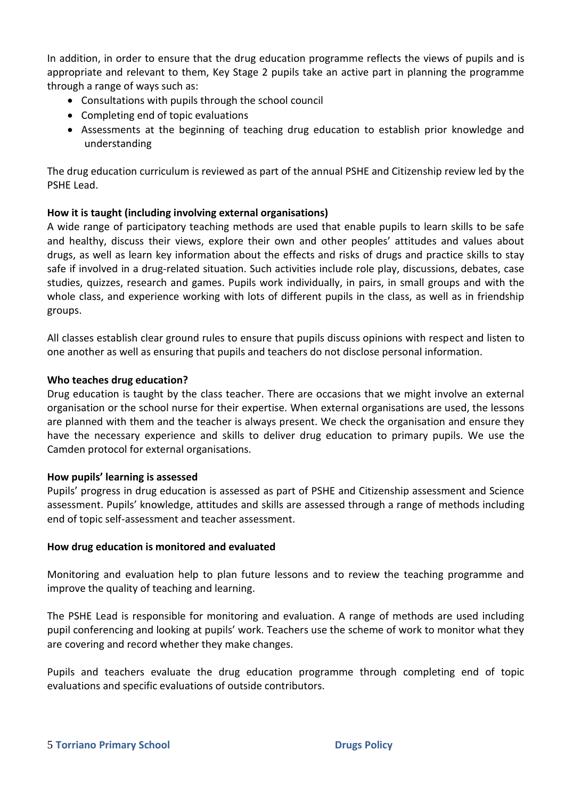In addition, in order to ensure that the drug education programme reflects the views of pupils and is appropriate and relevant to them, Key Stage 2 pupils take an active part in planning the programme through a range of ways such as:

- Consultations with pupils through the school council
- Completing end of topic evaluations
- Assessments at the beginning of teaching drug education to establish prior knowledge and understanding

The drug education curriculum is reviewed as part of the annual PSHE and Citizenship review led by the PSHE Lead.

# **How it is taught (including involving external organisations)**

A wide range of participatory teaching methods are used that enable pupils to learn skills to be safe and healthy, discuss their views, explore their own and other peoples' attitudes and values about drugs, as well as learn key information about the effects and risks of drugs and practice skills to stay safe if involved in a drug-related situation. Such activities include role play, discussions, debates, case studies, quizzes, research and games. Pupils work individually, in pairs, in small groups and with the whole class, and experience working with lots of different pupils in the class, as well as in friendship groups.

All classes establish clear ground rules to ensure that pupils discuss opinions with respect and listen to one another as well as ensuring that pupils and teachers do not disclose personal information.

# **Who teaches drug education?**

Drug education is taught by the class teacher. There are occasions that we might involve an external organisation or the school nurse for their expertise. When external organisations are used, the lessons are planned with them and the teacher is always present. We check the organisation and ensure they have the necessary experience and skills to deliver drug education to primary pupils. We use the Camden protocol for external organisations.

# **How pupils' learning is assessed**

Pupils' progress in drug education is assessed as part of PSHE and Citizenship assessment and Science assessment. Pupils' knowledge, attitudes and skills are assessed through a range of methods including end of topic self-assessment and teacher assessment.

# **How drug education is monitored and evaluated**

Monitoring and evaluation help to plan future lessons and to review the teaching programme and improve the quality of teaching and learning.

The PSHE Lead is responsible for monitoring and evaluation. A range of methods are used including pupil conferencing and looking at pupils' work. Teachers use the scheme of work to monitor what they are covering and record whether they make changes.

Pupils and teachers evaluate the drug education programme through completing end of topic evaluations and specific evaluations of outside contributors.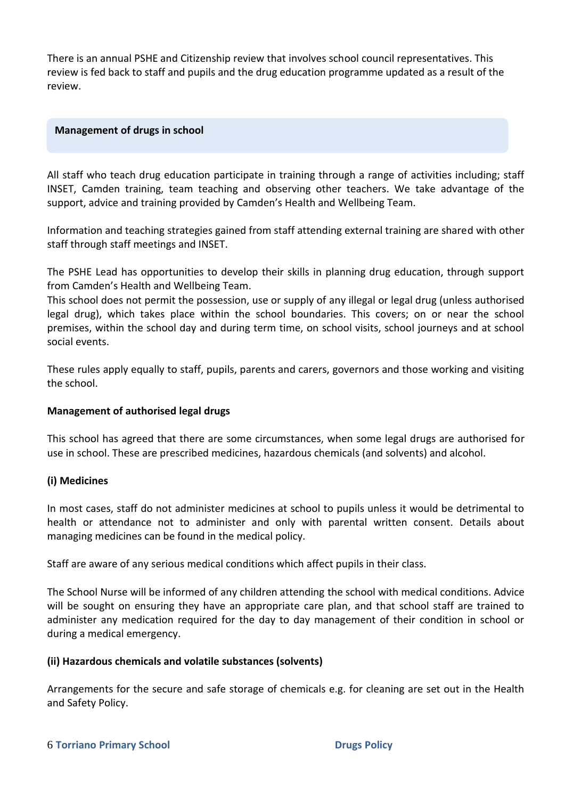There is an annual PSHE and Citizenship review that involves school council representatives. This review is fed back to staff and pupils and the drug education programme updated as a result of the review.

#### **Management of drugs in school**

All staff who teach drug education participate in training through a range of activities including; staff INSET, Camden training, team teaching and observing other teachers. We take advantage of the support, advice and training provided by Camden's Health and Wellbeing Team.

Information and teaching strategies gained from staff attending external training are shared with other staff through staff meetings and INSET.

The PSHE Lead has opportunities to develop their skills in planning drug education, through support from Camden's Health and Wellbeing Team.

This school does not permit the possession, use or supply of any illegal or legal drug (unless authorised legal drug), which takes place within the school boundaries. This covers; on or near the school premises, within the school day and during term time, on school visits, school journeys and at school social events.

These rules apply equally to staff, pupils, parents and carers, governors and those working and visiting the school.

# **Management of authorised legal drugs**

This school has agreed that there are some circumstances, when some legal drugs are authorised for use in school. These are prescribed medicines, hazardous chemicals (and solvents) and alcohol.

# **(i) Medicines**

In most cases, staff do not administer medicines at school to pupils unless it would be detrimental to health or attendance not to administer and only with parental written consent. Details about managing medicines can be found in the medical policy.

Staff are aware of any serious medical conditions which affect pupils in their class.

The School Nurse will be informed of any children attending the school with medical conditions. Advice will be sought on ensuring they have an appropriate care plan, and that school staff are trained to administer any medication required for the day to day management of their condition in school or during a medical emergency.

#### **(ii) Hazardous chemicals and volatile substances (solvents)**

Arrangements for the secure and safe storage of chemicals e.g. for cleaning are set out in the Health and Safety Policy.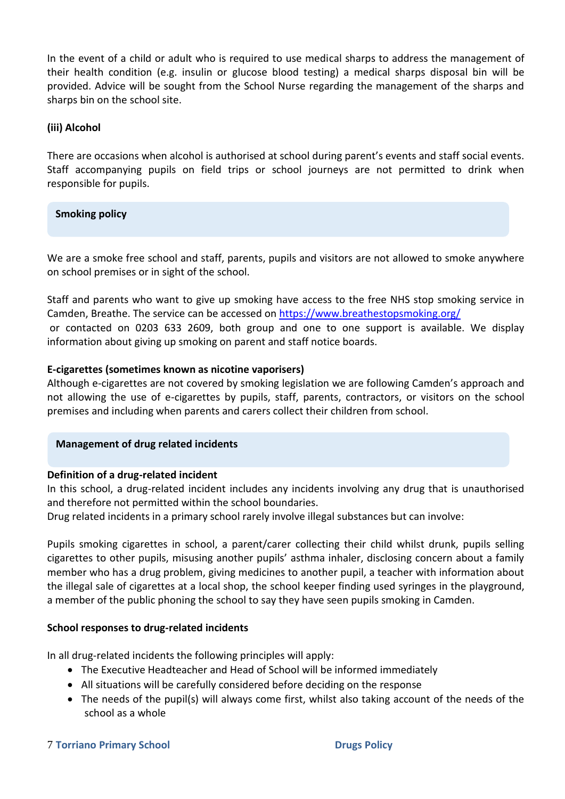In the event of a child or adult who is required to use medical sharps to address the management of their health condition (e.g. insulin or glucose blood testing) a medical sharps disposal bin will be provided. Advice will be sought from the School Nurse regarding the management of the sharps and sharps bin on the school site.

# **(iii) Alcohol**

There are occasions when alcohol is authorised at school during parent's events and staff social events. Staff accompanying pupils on field trips or school journeys are not permitted to drink when responsible for pupils.

# **Smoking policy**

We are a smoke free school and staff, parents, pupils and visitors are not allowed to smoke anywhere on school premises or in sight of the school.

Staff and parents who want to give up smoking have access to the free NHS stop smoking service in Camden, Breathe. The service can be accessed on<https://www.breathestopsmoking.org/> or contacted on 0203 633 2609, both group and one to one support is available. We display information about giving up smoking on parent and staff notice boards.

# **E-cigarettes (sometimes known as nicotine vaporisers)**

Although e-cigarettes are not covered by smoking legislation we are following Camden's approach and not allowing the use of e-cigarettes by pupils, staff, parents, contractors, or visitors on the school premises and including when parents and carers collect their children from school.

# **Management of drug related incidents**

# **Definition of a drug-related incident**

In this school, a drug-related incident includes any incidents involving any drug that is unauthorised and therefore not permitted within the school boundaries.

Drug related incidents in a primary school rarely involve illegal substances but can involve:

Pupils smoking cigarettes in school, a parent/carer collecting their child whilst drunk, pupils selling cigarettes to other pupils, misusing another pupils' asthma inhaler, disclosing concern about a family member who has a drug problem, giving medicines to another pupil, a teacher with information about the illegal sale of cigarettes at a local shop, the school keeper finding used syringes in the playground, a member of the public phoning the school to say they have seen pupils smoking in Camden.

# **School responses to drug-related incidents**

In all drug-related incidents the following principles will apply:

- The Executive Headteacher and Head of School will be informed immediately
- All situations will be carefully considered before deciding on the response
- The needs of the pupil(s) will always come first, whilst also taking account of the needs of the school as a whole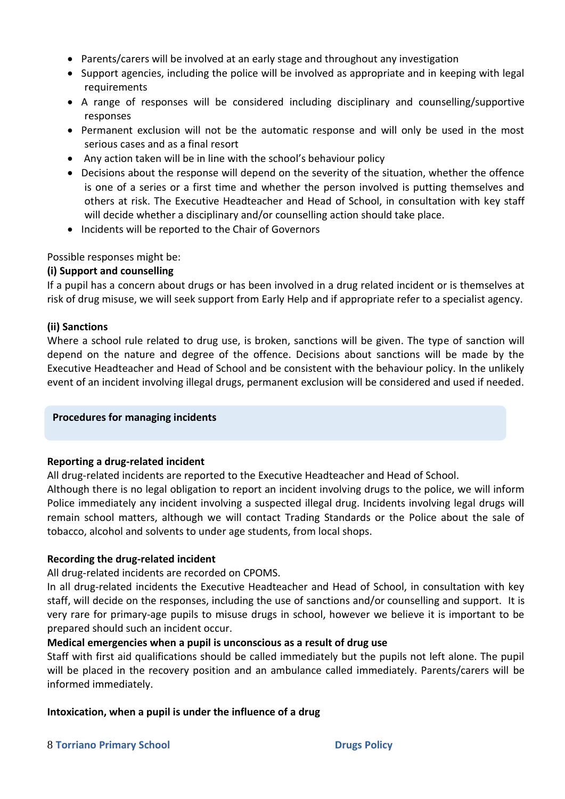- Parents/carers will be involved at an early stage and throughout any investigation
- Support agencies, including the police will be involved as appropriate and in keeping with legal requirements
- A range of responses will be considered including disciplinary and counselling/supportive responses
- Permanent exclusion will not be the automatic response and will only be used in the most serious cases and as a final resort
- Any action taken will be in line with the school's behaviour policy
- Decisions about the response will depend on the severity of the situation, whether the offence is one of a series or a first time and whether the person involved is putting themselves and others at risk. The Executive Headteacher and Head of School, in consultation with key staff will decide whether a disciplinary and/or counselling action should take place.
- Incidents will be reported to the Chair of Governors

# Possible responses might be:

# **(i) Support and counselling**

If a pupil has a concern about drugs or has been involved in a drug related incident or is themselves at risk of drug misuse, we will seek support from Early Help and if appropriate refer to a specialist agency.

# **(ii) Sanctions**

Where a school rule related to drug use, is broken, sanctions will be given. The type of sanction will depend on the nature and degree of the offence. Decisions about sanctions will be made by the Executive Headteacher and Head of School and be consistent with the behaviour policy. In the unlikely event of an incident involving illegal drugs, permanent exclusion will be considered and used if needed.

# **Procedures for managing incidents**

# **Reporting a drug-related incident**

All drug-related incidents are reported to the Executive Headteacher and Head of School.

Although there is no legal obligation to report an incident involving drugs to the police, we will inform Police immediately any incident involving a suspected illegal drug. Incidents involving legal drugs will remain school matters, although we will contact Trading Standards or the Police about the sale of tobacco, alcohol and solvents to under age students, from local shops.

# **Recording the drug-related incident**

All drug-related incidents are recorded on CPOMS.

In all drug-related incidents the Executive Headteacher and Head of School, in consultation with key staff, will decide on the responses, including the use of sanctions and/or counselling and support. It is very rare for primary-age pupils to misuse drugs in school, however we believe it is important to be prepared should such an incident occur.

# **Medical emergencies when a pupil is unconscious as a result of drug use**

Staff with first aid qualifications should be called immediately but the pupils not left alone. The pupil will be placed in the recovery position and an ambulance called immediately. Parents/carers will be informed immediately.

# **Intoxication, when a pupil is under the influence of a drug**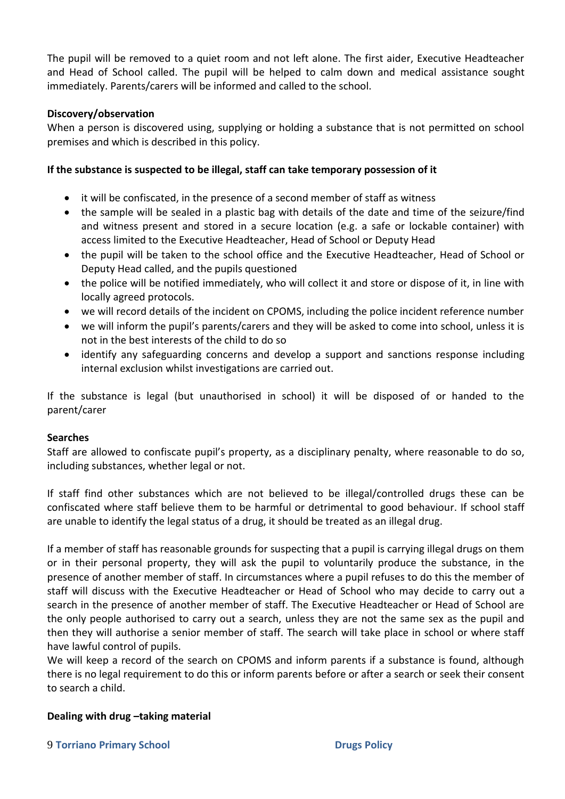The pupil will be removed to a quiet room and not left alone. The first aider, Executive Headteacher and Head of School called. The pupil will be helped to calm down and medical assistance sought immediately. Parents/carers will be informed and called to the school.

# **Discovery/observation**

When a person is discovered using, supplying or holding a substance that is not permitted on school premises and which is described in this policy.

# **If the substance is suspected to be illegal, staff can take temporary possession of it**

- it will be confiscated, in the presence of a second member of staff as witness
- the sample will be sealed in a plastic bag with details of the date and time of the seizure/find and witness present and stored in a secure location (e.g. a safe or lockable container) with access limited to the Executive Headteacher, Head of School or Deputy Head
- the pupil will be taken to the school office and the Executive Headteacher, Head of School or Deputy Head called, and the pupils questioned
- the police will be notified immediately, who will collect it and store or dispose of it, in line with locally agreed protocols.
- we will record details of the incident on CPOMS, including the police incident reference number
- we will inform the pupil's parents/carers and they will be asked to come into school, unless it is not in the best interests of the child to do so
- identify any safeguarding concerns and develop a support and sanctions response including internal exclusion whilst investigations are carried out.

If the substance is legal (but unauthorised in school) it will be disposed of or handed to the parent/carer

# **Searches**

Staff are allowed to confiscate pupil's property, as a disciplinary penalty, where reasonable to do so, including substances, whether legal or not.

If staff find other substances which are not believed to be illegal/controlled drugs these can be confiscated where staff believe them to be harmful or detrimental to good behaviour. If school staff are unable to identify the legal status of a drug, it should be treated as an illegal drug.

If a member of staff has reasonable grounds for suspecting that a pupil is carrying illegal drugs on them or in their personal property, they will ask the pupil to voluntarily produce the substance, in the presence of another member of staff. In circumstances where a pupil refuses to do this the member of staff will discuss with the Executive Headteacher or Head of School who may decide to carry out a search in the presence of another member of staff. The Executive Headteacher or Head of School are the only people authorised to carry out a search, unless they are not the same sex as the pupil and then they will authorise a senior member of staff. The search will take place in school or where staff have lawful control of pupils.

We will keep a record of the search on CPOMS and inform parents if a substance is found, although there is no legal requirement to do this or inform parents before or after a search or seek their consent to search a child.

# **Dealing with drug –taking material**

#### 9 **Torriano Primary School Drugs Policy**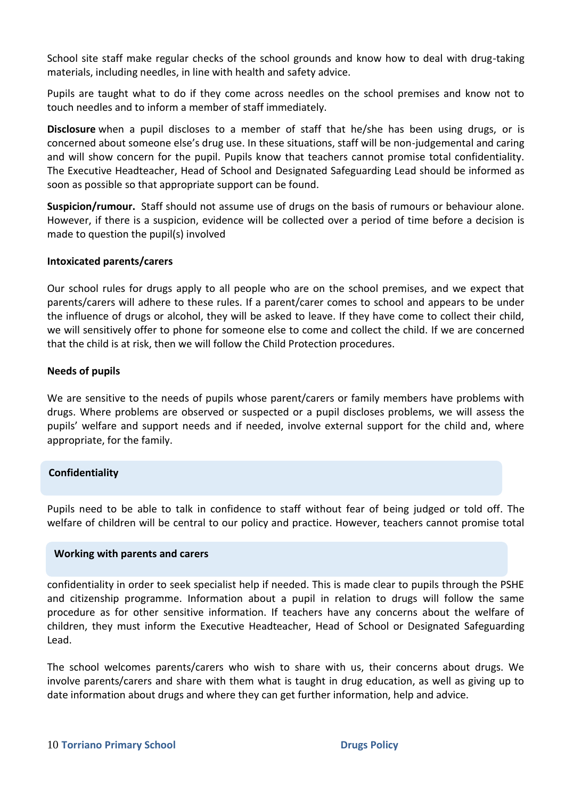School site staff make regular checks of the school grounds and know how to deal with drug-taking materials, including needles, in line with health and safety advice.

Pupils are taught what to do if they come across needles on the school premises and know not to touch needles and to inform a member of staff immediately.

**Disclosure** when a pupil discloses to a member of staff that he/she has been using drugs, or is concerned about someone else's drug use. In these situations, staff will be non-judgemental and caring and will show concern for the pupil. Pupils know that teachers cannot promise total confidentiality. The Executive Headteacher, Head of School and Designated Safeguarding Lead should be informed as soon as possible so that appropriate support can be found.

**Suspicion/rumour.** Staff should not assume use of drugs on the basis of rumours or behaviour alone. However, if there is a suspicion, evidence will be collected over a period of time before a decision is made to question the pupil(s) involved

#### **Intoxicated parents/carers**

Our school rules for drugs apply to all people who are on the school premises, and we expect that parents/carers will adhere to these rules. If a parent/carer comes to school and appears to be under the influence of drugs or alcohol, they will be asked to leave. If they have come to collect their child, we will sensitively offer to phone for someone else to come and collect the child. If we are concerned that the child is at risk, then we will follow the Child Protection procedures.

#### **Needs of pupils**

We are sensitive to the needs of pupils whose parent/carers or family members have problems with drugs. Where problems are observed or suspected or a pupil discloses problems, we will assess the pupils' welfare and support needs and if needed, involve external support for the child and, where appropriate, for the family.

# **Confidentiality**

Pupils need to be able to talk in confidence to staff without fear of being judged or told off. The welfare of children will be central to our policy and practice. However, teachers cannot promise total

#### **Working with parents and carers**

confidentiality in order to seek specialist help if needed. This is made clear to pupils through the PSHE and citizenship programme. Information about a pupil in relation to drugs will follow the same procedure as for other sensitive information. If teachers have any concerns about the welfare of children, they must inform the Executive Headteacher, Head of School or Designated Safeguarding Lead.

The school welcomes parents/carers who wish to share with us, their concerns about drugs. We involve parents/carers and share with them what is taught in drug education, as well as giving up to date information about drugs and where they can get further information, help and advice.